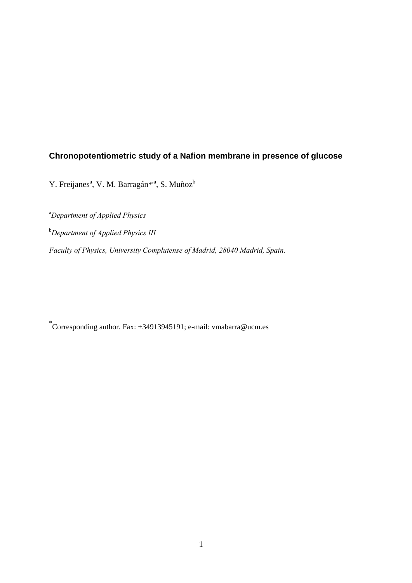# **Chronopotentiometric study of a Nafion membrane in presence of glucose**

Y. Freijanes<sup>a</sup>, V. M. Barragán<sup>\*a</sup>, S. Muñoz<sup>b</sup>

a *Department of Applied Physics*  b *Department of Applied Physics III Faculty of Physics, University Complutense of Madrid, 28040 Madrid, Spain.* 

\* Corresponding author. Fax: +34913945191; e-mail: vmabarra@ucm.es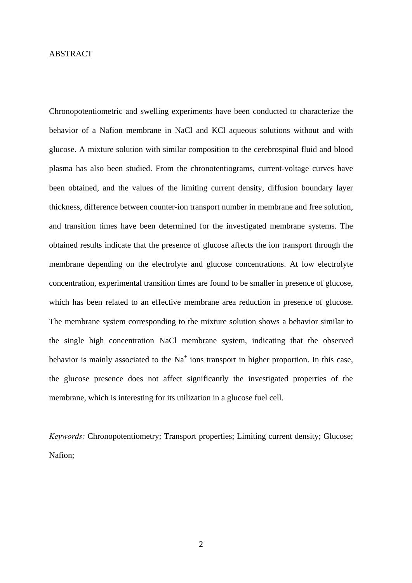### ABSTRACT

Chronopotentiometric and swelling experiments have been conducted to characterize the behavior of a Nafion membrane in NaCl and KCl aqueous solutions without and with glucose. A mixture solution with similar composition to the cerebrospinal fluid and blood plasma has also been studied. From the chronotentiograms, current-voltage curves have been obtained, and the values of the limiting current density, diffusion boundary layer thickness, difference between counter-ion transport number in membrane and free solution, and transition times have been determined for the investigated membrane systems. The obtained results indicate that the presence of glucose affects the ion transport through the membrane depending on the electrolyte and glucose concentrations. At low electrolyte concentration, experimental transition times are found to be smaller in presence of glucose, which has been related to an effective membrane area reduction in presence of glucose. The membrane system corresponding to the mixture solution shows a behavior similar to the single high concentration NaCl membrane system, indicating that the observed behavior is mainly associated to the  $Na<sup>+</sup>$  ions transport in higher proportion. In this case, the glucose presence does not affect significantly the investigated properties of the membrane, which is interesting for its utilization in a glucose fuel cell.

*Keywords:* Chronopotentiometry; Transport properties; Limiting current density; Glucose; Nafion;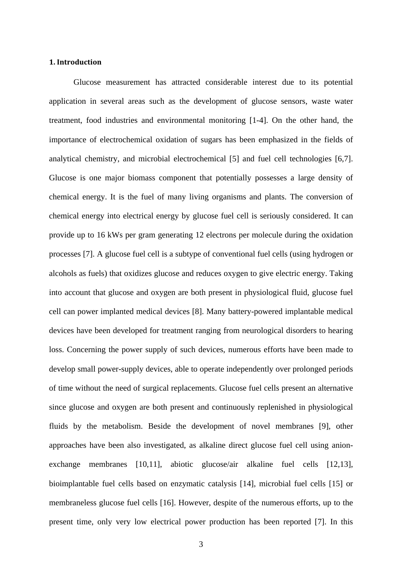#### **1. Introduction**

 Glucose measurement has attracted considerable interest due to its potential application in several areas such as the development of glucose sensors, waste water treatment, food industries and environmental monitoring [1-4]. On the other hand, the importance of electrochemical oxidation of sugars has been emphasized in the fields of analytical chemistry, and microbial electrochemical [5] and fuel cell technologies [6,7]. Glucose is one major biomass component that potentially possesses a large density of chemical energy. It is the fuel of many living organisms and plants. The conversion of chemical energy into electrical energy by glucose fuel cell is seriously considered. It can provide up to 16 kWs per gram generating 12 electrons per molecule during the oxidation processes [7]. A glucose fuel cell is a subtype of conventional fuel cells (using hydrogen or alcohols as fuels) that oxidizes glucose and reduces oxygen to give electric energy. Taking into account that glucose and oxygen are both present in physiological fluid, glucose fuel cell can power implanted medical devices [8]. Many battery-powered implantable medical devices have been developed for treatment ranging from neurological disorders to hearing loss. Concerning the power supply of such devices, numerous efforts have been made to develop small power-supply devices, able to operate independently over prolonged periods of time without the need of surgical replacements. Glucose fuel cells present an alternative since glucose and oxygen are both present and continuously replenished in physiological fluids by the metabolism. Beside the development of novel membranes [9], other approaches have been also investigated, as alkaline direct glucose fuel cell using anionexchange membranes [10,11], abiotic glucose/air alkaline fuel cells [12,13], bioimplantable fuel cells based on enzymatic catalysis [14], microbial fuel cells [15] or membraneless glucose fuel cells [16]. However, despite of the numerous efforts, up to the present time, only very low electrical power production has been reported [7]. In this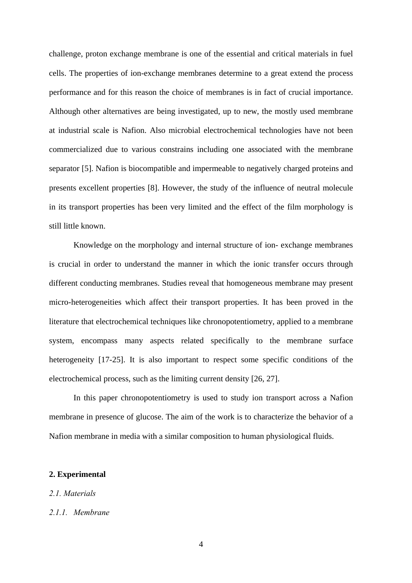challenge, proton exchange membrane is one of the essential and critical materials in fuel cells. The properties of ion-exchange membranes determine to a great extend the process performance and for this reason the choice of membranes is in fact of crucial importance. Although other alternatives are being investigated, up to new, the mostly used membrane at industrial scale is Nafion. Also microbial electrochemical technologies have not been commercialized due to various constrains including one associated with the membrane separator [5]. Nafion is biocompatible and impermeable to negatively charged proteins and presents excellent properties [8]. However, the study of the influence of neutral molecule in its transport properties has been very limited and the effect of the film morphology is still little known.

 Knowledge on the morphology and internal structure of ion- exchange membranes is crucial in order to understand the manner in which the ionic transfer occurs through different conducting membranes. Studies reveal that homogeneous membrane may present micro-heterogeneities which affect their transport properties. It has been proved in the literature that electrochemical techniques like chronopotentiometry, applied to a membrane system, encompass many aspects related specifically to the membrane surface heterogeneity [17-25]. It is also important to respect some specific conditions of the electrochemical process, such as the limiting current density [26, 27].

 In this paper chronopotentiometry is used to study ion transport across a Nafion membrane in presence of glucose. The aim of the work is to characterize the behavior of a Nafion membrane in media with a similar composition to human physiological fluids.

### **2. Experimental**

### *2.1. Materials*

### *2.1.1. Membrane*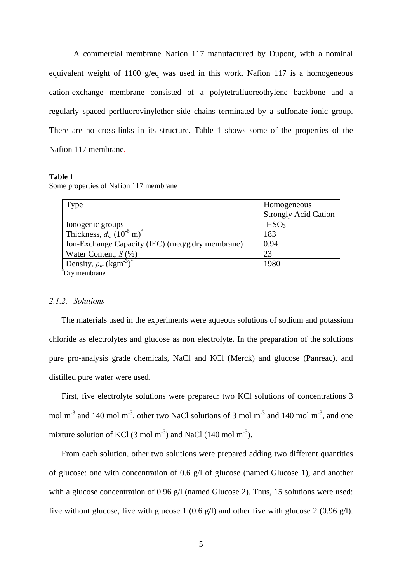A commercial membrane Nafion 117 manufactured by Dupont, with a nominal equivalent weight of 1100 g/eq was used in this work. Nafion 117 is a homogeneous cation-exchange membrane consisted of a polytetrafluoreothylene backbone and a regularly spaced perfluorovinylether side chains terminated by a sulfonate ionic group. There are no cross-links in its structure. Table 1 shows some of the properties of the Nafion 117 membrane.

#### **Table 1**

|  |  |  |  | Some properties of Nafion 117 membrane |
|--|--|--|--|----------------------------------------|
|--|--|--|--|----------------------------------------|

| Type                                               | Homogeneous                 |
|----------------------------------------------------|-----------------------------|
|                                                    | <b>Strongly Acid Cation</b> |
| Ionogenic groups                                   | $-HSO3$                     |
| Thickness, $d_m$ (10 <sup>-6</sup> m) <sup>*</sup> | 183                         |
| Ion-Exchange Capacity (IEC) (meq/g dry membrane)   | 0.94                        |
| Water Content, $S(\%)$                             | 23                          |
| Density, $\rho_m$ (kgm <sup>-3</sup> )             | 1980                        |
| $\sum_{i=1}^{n}$                                   |                             |

Dry membrane

### *2.1.2. Solutions*

 The materials used in the experiments were aqueous solutions of sodium and potassium chloride as electrolytes and glucose as non electrolyte. In the preparation of the solutions pure pro-analysis grade chemicals, NaCl and KCl (Merck) and glucose (Panreac), and distilled pure water were used.

 First, five electrolyte solutions were prepared: two KCl solutions of concentrations 3 mol m<sup>-3</sup> and 140 mol m<sup>-3</sup>, other two NaCl solutions of 3 mol m<sup>-3</sup> and 140 mol m<sup>-3</sup>, and one mixture solution of KCl  $(3 \text{ mol m}^3)$  and NaCl  $(140 \text{ mol m}^3)$ .

 From each solution, other two solutions were prepared adding two different quantities of glucose: one with concentration of 0.6 g/l of glucose (named Glucose 1), and another with a glucose concentration of 0.96 g/l (named Glucose 2). Thus, 15 solutions were used: five without glucose, five with glucose 1 (0.6 g/l) and other five with glucose 2 (0.96 g/l).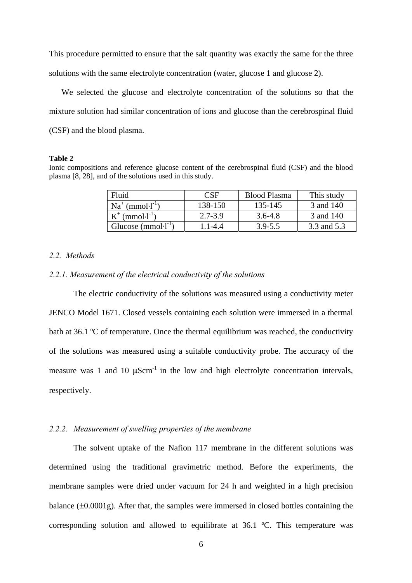This procedure permitted to ensure that the salt quantity was exactly the same for the three solutions with the same electrolyte concentration (water, glucose 1 and glucose 2).

 We selected the glucose and electrolyte concentration of the solutions so that the mixture solution had similar concentration of ions and glucose than the cerebrospinal fluid (CSF) and the blood plasma.

#### **Table 2**

Ionic compositions and reference glucose content of the cerebrospinal fluid (CSF) and the blood plasma [8, 28], and of the solutions used in this study.

| Fluid                         | CSE         | <b>Blood Plasma</b> | This study  |
|-------------------------------|-------------|---------------------|-------------|
| $Na^+$ (mmol $\cdot l^{-1}$ ) | 138-150     | 135-145             | 3 and 140   |
| $(mmol·l-1)$                  | $2.7 - 3.9$ | $3.6 - 4.8$         | 3 and 140   |
| Glucose $(mmol·l^{-1})$       | $-1 - 4.4$  | $3.9 - 5.5$         | 3.3 and 5.3 |

### *2.2. Methods*

#### *2.2.1. Measurement of the electrical conductivity of the solutions*

The electric conductivity of the solutions was measured using a conductivity meter JENCO Model 1671. Closed vessels containing each solution were immersed in a thermal bath at 36.1 ºC of temperature. Once the thermal equilibrium was reached, the conductivity of the solutions was measured using a suitable conductivity probe. The accuracy of the measure was 1 and 10  $\mu$ Scm<sup>-1</sup> in the low and high electrolyte concentration intervals, respectively.

### *2.2.2. Measurement of swelling properties of the membrane*

 The solvent uptake of the Nafion 117 membrane in the different solutions was determined using the traditional gravimetric method. Before the experiments, the membrane samples were dried under vacuum for 24 h and weighted in a high precision balance  $(\pm 0.0001g)$ . After that, the samples were immersed in closed bottles containing the corresponding solution and allowed to equilibrate at 36.1 ºC. This temperature was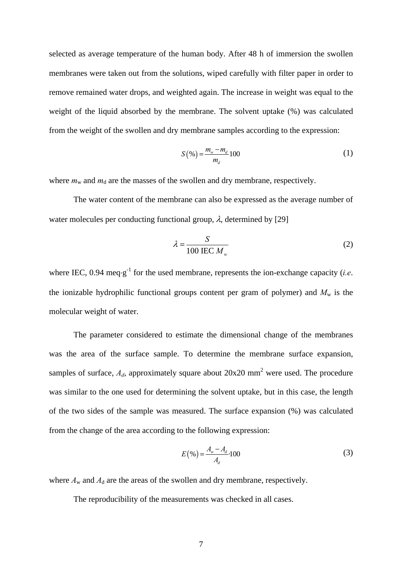selected as average temperature of the human body. After 48 h of immersion the swollen membranes were taken out from the solutions, wiped carefully with filter paper in order to remove remained water drops, and weighted again. The increase in weight was equal to the weight of the liquid absorbed by the membrane. The solvent uptake (%) was calculated from the weight of the swollen and dry membrane samples according to the expression:

$$
S(\% ) = \frac{m_{w} - m_{d}}{m_{d}} 100
$$
 (1)

where  $m_w$  and  $m_d$  are the masses of the swollen and dry membrane, respectively.

The water content of the membrane can also be expressed as the average number of water molecules per conducting functional group,  $\lambda$ , determined by [29]

$$
\lambda = \frac{S}{100 \text{ IEC } M_w} \tag{2}
$$

where IEC,  $0.94 \text{ meg-g}^{-1}$  for the used membrane, represents the ion-exchange capacity (*i.e.*) the ionizable hydrophilic functional groups content per gram of polymer) and  $M_w$  is the molecular weight of water.

The parameter considered to estimate the dimensional change of the membranes was the area of the surface sample. To determine the membrane surface expansion, samples of surface,  $A_d$ , approximately square about  $20x20$  mm<sup>2</sup> were used. The procedure was similar to the one used for determining the solvent uptake, but in this case, the length of the two sides of the sample was measured. The surface expansion (%) was calculated from the change of the area according to the following expression:

$$
E(\% ) = \frac{A_{w} - A_{d}}{A_{d}} 100
$$
 (3)

where  $A_w$  and  $A_d$  are the areas of the swollen and dry membrane, respectively.

The reproducibility of the measurements was checked in all cases.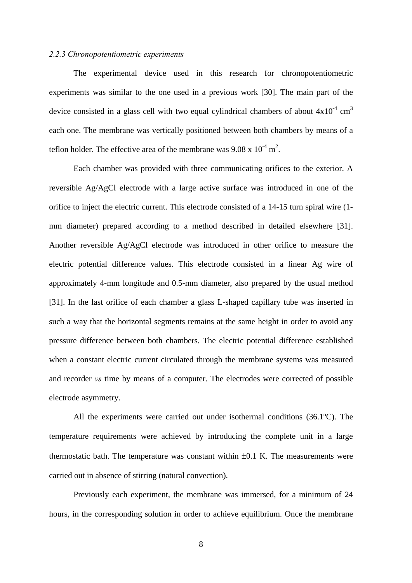#### *2.2.3 Chronopotentiometric experiments*

The experimental device used in this research for chronopotentiometric experiments was similar to the one used in a previous work [30]. The main part of the device consisted in a glass cell with two equal cylindrical chambers of about  $4x10^4$  cm<sup>3</sup> each one. The membrane was vertically positioned between both chambers by means of a teflon holder. The effective area of the membrane was  $9.08 \times 10^{-4}$  m<sup>2</sup>.

Each chamber was provided with three communicating orifices to the exterior. A reversible Ag/AgCl electrode with a large active surface was introduced in one of the orifice to inject the electric current. This electrode consisted of a 14-15 turn spiral wire (1 mm diameter) prepared according to a method described in detailed elsewhere [31]. Another reversible Ag/AgCl electrode was introduced in other orifice to measure the electric potential difference values. This electrode consisted in a linear Ag wire of approximately 4-mm longitude and 0.5-mm diameter, also prepared by the usual method [31]. In the last orifice of each chamber a glass L-shaped capillary tube was inserted in such a way that the horizontal segments remains at the same height in order to avoid any pressure difference between both chambers. The electric potential difference established when a constant electric current circulated through the membrane systems was measured and recorder *vs* time by means of a computer. The electrodes were corrected of possible electrode asymmetry.

 All the experiments were carried out under isothermal conditions (36.1ºC). The temperature requirements were achieved by introducing the complete unit in a large thermostatic bath. The temperature was constant within  $\pm 0.1$  K. The measurements were carried out in absence of stirring (natural convection).

 Previously each experiment, the membrane was immersed, for a minimum of 24 hours, in the corresponding solution in order to achieve equilibrium. Once the membrane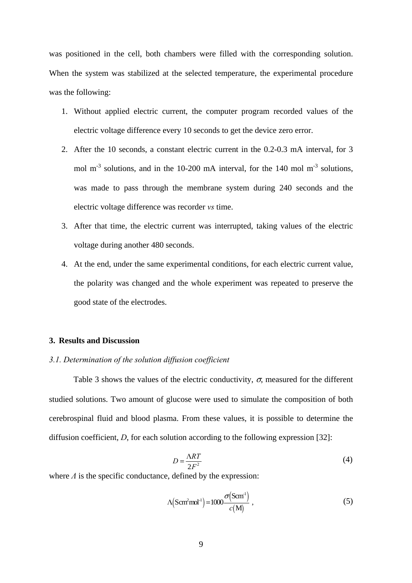was positioned in the cell, both chambers were filled with the corresponding solution. When the system was stabilized at the selected temperature, the experimental procedure was the following:

- 1. Without applied electric current, the computer program recorded values of the electric voltage difference every 10 seconds to get the device zero error.
- 2. After the 10 seconds, a constant electric current in the 0.2-0.3 mA interval, for 3 mol  $m<sup>-3</sup>$  solutions, and in the 10-200 mA interval, for the 140 mol  $m<sup>-3</sup>$  solutions, was made to pass through the membrane system during 240 seconds and the electric voltage difference was recorder *vs* time.
- 3. After that time, the electric current was interrupted, taking values of the electric voltage during another 480 seconds.
- 4. At the end, under the same experimental conditions, for each electric current value, the polarity was changed and the whole experiment was repeated to preserve the good state of the electrodes.

#### **3. Results and Discussion**

### *3.1. Determination of the solution diffusion coefficient*

Table 3 shows the values of the electric conductivity,  $\sigma$ , measured for the different studied solutions. Two amount of glucose were used to simulate the composition of both cerebrospinal fluid and blood plasma. From these values, it is possible to determine the diffusion coefficient, *D*, for each solution according to the following expression [32]:

$$
D = \frac{\Lambda RT}{2F^2} \tag{4}
$$

where *Λ* is the specific conductance, defined by the expression:

$$
\Lambda\left(\text{Scm}^2 \text{mol}^{\text{-1}}\right) = 1000 \frac{\sigma\left(\text{Scm}^{\text{-1}}\right)}{c(M)}\,,\tag{5}
$$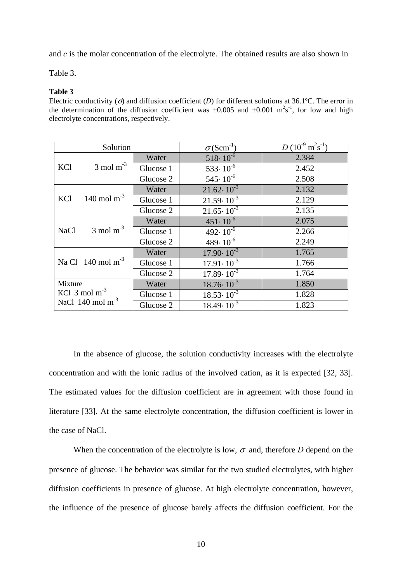and *c* is the molar concentration of the electrolyte. The obtained results are also shown in

Table 3.

#### **Table 3**

Electric conductivity ( $\sigma$ ) and diffusion coefficient (*D*) for different solutions at 36.1°C. The error in the determination of the diffusion coefficient was  $\pm 0.005$  and  $\pm 0.001$  m<sup>2</sup>s<sup>-1</sup>, for low and high electrolyte concentrations, respectively.

| Solution                   |                                |           | $\sigma(\text{Scm}^{-1})$      | $D(10^{-9} \text{ m}^2 \text{s}^{-1})$ |
|----------------------------|--------------------------------|-----------|--------------------------------|----------------------------------------|
|                            |                                | Water     | $518 \cdot 10^{-6}$            | 2.384                                  |
| KCl                        | $3 \text{ mol m}^{-3}$         | Glucose 1 | $533 \cdot \overline{10^{-6}}$ | 2.452                                  |
|                            |                                | Glucose 2 | $545 \cdot 10^{-6}$            | 2.508                                  |
|                            |                                | Water     | $21.62 \cdot 10^{-3}$          | 2.132                                  |
| KCl                        | 140 mol m <sup>-3</sup>        | Glucose 1 | $21.59 \cdot 10^{-3}$          | 2.129                                  |
|                            |                                | Glucose 2 | $21.65 \cdot 10^{-3}$          | 2.135                                  |
|                            |                                | Water     | $451 \cdot 10^{-6}$            | 2.075                                  |
| <b>NaCl</b>                | $3 \text{ mol m}^{-3}$         | Glucose 1 | 492 $\cdot$ 10 <sup>-6</sup>   | 2.266                                  |
|                            |                                | Glucose 2 | $489 \cdot 10^{-6}$            | 2.249                                  |
|                            |                                | Water     | $17.90 \cdot 10^{-3}$          | 1.765                                  |
|                            | Na Cl $140 \text{ mol m}^{-3}$ | Glucose 1 | $17.91 \cdot 10^{-3}$          | 1.766                                  |
|                            |                                | Glucose 2 | $17.89 \cdot 10^{-3}$          | 1.764                                  |
| Mixture                    |                                | Water     | $18.76 \cdot 10^{-3}$          | 1.850                                  |
| KCl $3 \text{ mol m}^{-3}$ |                                | Glucose 1 | $18.53 \cdot 10^{-3}$          | 1.828                                  |
|                            | NaCl $140 \text{ mol m}^{-3}$  | Glucose 2 | $18.49 \cdot 10^{-3}$          | 1.823                                  |

In the absence of glucose, the solution conductivity increases with the electrolyte concentration and with the ionic radius of the involved cation, as it is expected [32, 33]. The estimated values for the diffusion coefficient are in agreement with those found in literature [33]. At the same electrolyte concentration, the diffusion coefficient is lower in the case of NaCl.

When the concentration of the electrolyte is low,  $\sigma$  and, therefore *D* depend on the presence of glucose. The behavior was similar for the two studied electrolytes, with higher diffusion coefficients in presence of glucose. At high electrolyte concentration, however, the influence of the presence of glucose barely affects the diffusion coefficient. For the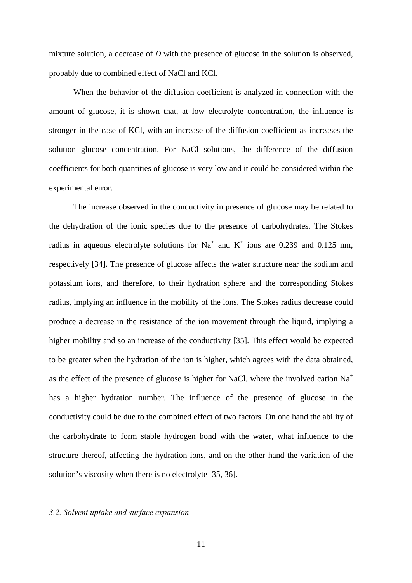mixture solution, a decrease of *D* with the presence of glucose in the solution is observed, probably due to combined effect of NaCl and KCl.

When the behavior of the diffusion coefficient is analyzed in connection with the amount of glucose, it is shown that, at low electrolyte concentration, the influence is stronger in the case of KCl, with an increase of the diffusion coefficient as increases the solution glucose concentration. For NaCl solutions, the difference of the diffusion coefficients for both quantities of glucose is very low and it could be considered within the experimental error.

The increase observed in the conductivity in presence of glucose may be related to the dehydration of the ionic species due to the presence of carbohydrates. The Stokes radius in aqueous electrolyte solutions for Na<sup>+</sup> and K<sup>+</sup> ions are 0.239 and 0.125 nm, respectively [34]. The presence of glucose affects the water structure near the sodium and potassium ions, and therefore, to their hydration sphere and the corresponding Stokes radius, implying an influence in the mobility of the ions. The Stokes radius decrease could produce a decrease in the resistance of the ion movement through the liquid, implying a higher mobility and so an increase of the conductivity [35]. This effect would be expected to be greater when the hydration of the ion is higher, which agrees with the data obtained, as the effect of the presence of glucose is higher for NaCl, where the involved cation  $Na<sup>+</sup>$ has a higher hydration number. The influence of the presence of glucose in the conductivity could be due to the combined effect of two factors. On one hand the ability of the carbohydrate to form stable hydrogen bond with the water, what influence to the structure thereof, affecting the hydration ions, and on the other hand the variation of the solution's viscosity when there is no electrolyte [35, 36].

### *3.2. Solvent uptake and surface expansion*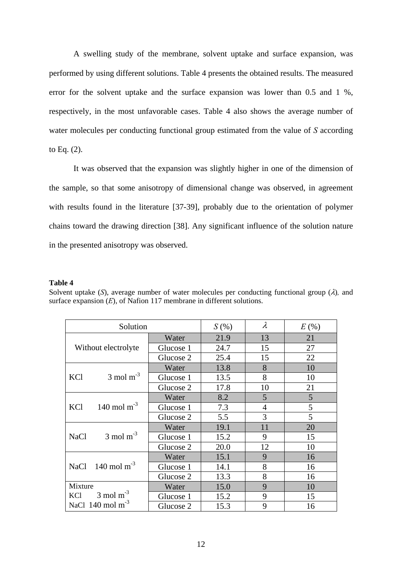A swelling study of the membrane, solvent uptake and surface expansion, was performed by using different solutions. Table 4 presents the obtained results. The measured error for the solvent uptake and the surface expansion was lower than 0.5 and 1 %, respectively, in the most unfavorable cases. Table 4 also shows the average number of water molecules per conducting functional group estimated from the value of *S* according to Eq. (2).

It was observed that the expansion was slightly higher in one of the dimension of the sample, so that some anisotropy of dimensional change was observed, in agreement with results found in the literature [37-39], probably due to the orientation of polymer chains toward the drawing direction [38]. Any significant influence of the solution nature in the presented anisotropy was observed.

### **Table 4**

| Solvent uptake (S), average number of water molecules per conducting functional group $(\lambda)$ , and |  |
|---------------------------------------------------------------------------------------------------------|--|
| surface expansion $(E)$ , of Nation 117 membrane in different solutions.                                |  |

| Solution                              | S(%)      | $\lambda$ | $E($ %)        |    |
|---------------------------------------|-----------|-----------|----------------|----|
|                                       | Water     | 21.9      | 13             | 21 |
| Without electrolyte                   | Glucose 1 | 24.7      | 15             | 27 |
|                                       | Glucose 2 | 25.4      | 15             | 22 |
|                                       | Water     | 13.8      | 8              | 10 |
| $3 \text{ mol m}^{-3}$<br>KCl         | Glucose 1 | 13.5      | 8              | 10 |
|                                       | Glucose 2 | 17.8      | 10             | 21 |
|                                       | Water     | 8.2       | 5              | 5  |
| 140 mol m <sup>-3</sup><br>KCl        | Glucose 1 | 7.3       | $\overline{4}$ | 5  |
|                                       | Glucose 2 | 5.5       | 3              | 5  |
|                                       | Water     | 19.1      | 11             | 20 |
| $3 \text{ mol m}^{-3}$<br><b>NaCl</b> | Glucose 1 | 15.2      | 9              | 15 |
|                                       | Glucose 2 | 20.0      | 12             | 10 |
|                                       | Water     | 15.1      | 9              | 16 |
| 140 mol $m^{-3}$<br><b>NaCl</b>       | Glucose 1 | 14.1      | 8              | 16 |
|                                       | Glucose 2 | 13.3      | 8              | 16 |
| Mixture                               | Water     | 15.0      | 9              | 10 |
| $3 \text{ mol m}^{-3}$<br>KCl         | Glucose 1 | 15.2      | 9              | 15 |
| NaCl $140 \text{ mol m}^{-3}$         | Glucose 2 | 15.3      | 9              | 16 |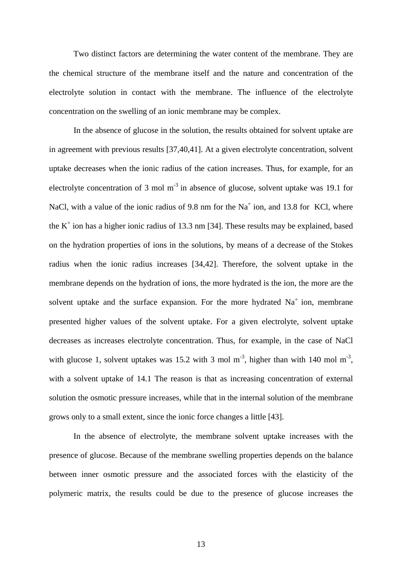Two distinct factors are determining the water content of the membrane. They are the chemical structure of the membrane itself and the nature and concentration of the electrolyte solution in contact with the membrane. The influence of the electrolyte concentration on the swelling of an ionic membrane may be complex.

In the absence of glucose in the solution, the results obtained for solvent uptake are in agreement with previous results [37,40,41]. At a given electrolyte concentration, solvent uptake decreases when the ionic radius of the cation increases. Thus, for example, for an electrolyte concentration of 3 mol  $m<sup>3</sup>$  in absence of glucose, solvent uptake was 19.1 for NaCl, with a value of the ionic radius of 9.8 nm for the Na<sup>+</sup> ion, and 13.8 for KCl, where the  $K^+$  ion has a higher ionic radius of 13.3 nm [34]. These results may be explained, based on the hydration properties of ions in the solutions, by means of a decrease of the Stokes radius when the ionic radius increases [34,42]. Therefore, the solvent uptake in the membrane depends on the hydration of ions, the more hydrated is the ion, the more are the solvent uptake and the surface expansion. For the more hydrated  $Na<sup>+</sup>$  ion, membrane presented higher values of the solvent uptake. For a given electrolyte, solvent uptake decreases as increases electrolyte concentration. Thus, for example, in the case of NaCl with glucose 1, solvent uptakes was 15.2 with 3 mol  $m<sup>-3</sup>$ , higher than with 140 mol  $m<sup>-3</sup>$ , with a solvent uptake of 14.1 The reason is that as increasing concentration of external solution the osmotic pressure increases, while that in the internal solution of the membrane grows only to a small extent, since the ionic force changes a little [43].

In the absence of electrolyte, the membrane solvent uptake increases with the presence of glucose. Because of the membrane swelling properties depends on the balance between inner osmotic pressure and the associated forces with the elasticity of the polymeric matrix, the results could be due to the presence of glucose increases the

13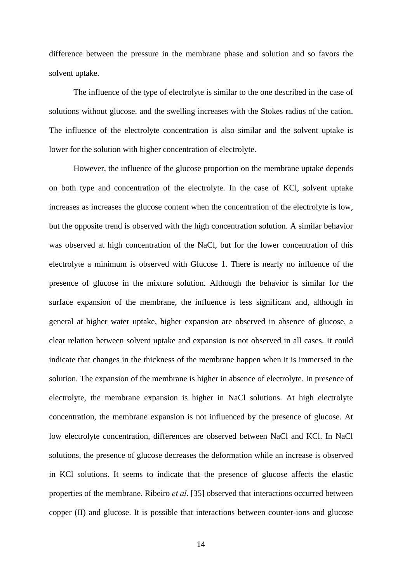difference between the pressure in the membrane phase and solution and so favors the solvent uptake.

The influence of the type of electrolyte is similar to the one described in the case of solutions without glucose, and the swelling increases with the Stokes radius of the cation. The influence of the electrolyte concentration is also similar and the solvent uptake is lower for the solution with higher concentration of electrolyte.

However, the influence of the glucose proportion on the membrane uptake depends on both type and concentration of the electrolyte. In the case of KCl, solvent uptake increases as increases the glucose content when the concentration of the electrolyte is low, but the opposite trend is observed with the high concentration solution. A similar behavior was observed at high concentration of the NaCl, but for the lower concentration of this electrolyte a minimum is observed with Glucose 1. There is nearly no influence of the presence of glucose in the mixture solution. Although the behavior is similar for the surface expansion of the membrane, the influence is less significant and, although in general at higher water uptake, higher expansion are observed in absence of glucose, a clear relation between solvent uptake and expansion is not observed in all cases. It could indicate that changes in the thickness of the membrane happen when it is immersed in the solution. The expansion of the membrane is higher in absence of electrolyte. In presence of electrolyte, the membrane expansion is higher in NaCl solutions. At high electrolyte concentration, the membrane expansion is not influenced by the presence of glucose. At low electrolyte concentration, differences are observed between NaCl and KCl. In NaCl solutions, the presence of glucose decreases the deformation while an increase is observed in KCl solutions. It seems to indicate that the presence of glucose affects the elastic properties of the membrane. Ribeiro *et al*. [35] observed that interactions occurred between copper (II) and glucose. It is possible that interactions between counter-ions and glucose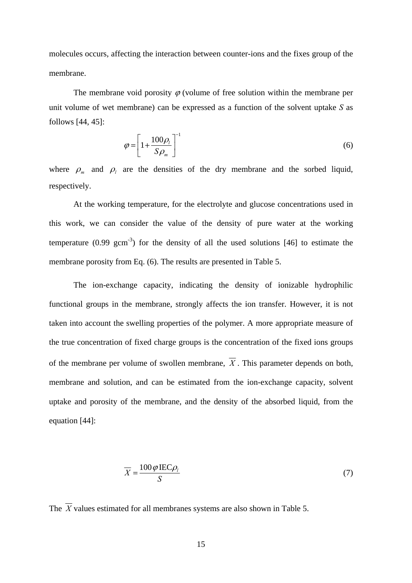molecules occurs, affecting the interaction between counter-ions and the fixes group of the membrane.

The membrane void porosity  $\varphi$  (volume of free solution within the membrane per unit volume of wet membrane) can be expressed as a function of the solvent uptake *S* as follows [44, 45]:

$$
\varphi = \left[1 + \frac{100\rho_l}{S\rho_m}\right]^{-1} \tag{6}
$$

where  $\rho_m$  and  $\rho_l$  are the densities of the dry membrane and the sorbed liquid, respectively.

 At the working temperature, for the electrolyte and glucose concentrations used in this work, we can consider the value of the density of pure water at the working temperature  $(0.99 \text{ gcm}^{-3})$  for the density of all the used solutions [46] to estimate the membrane porosity from Eq. (6). The results are presented in Table 5.

 The ion-exchange capacity, indicating the density of ionizable hydrophilic functional groups in the membrane, strongly affects the ion transfer. However, it is not taken into account the swelling properties of the polymer. A more appropriate measure of the true concentration of fixed charge groups is the concentration of the fixed ions groups of the membrane per volume of swollen membrane,  $\overline{X}$ . This parameter depends on both, membrane and solution, and can be estimated from the ion-exchange capacity, solvent uptake and porosity of the membrane, and the density of the absorbed liquid, from the equation [44]:

$$
\overline{X} = \frac{100\varphi \operatorname{IEC}\rho_t}{S} \tag{7}
$$

The  $\overline{X}$  values estimated for all membranes systems are also shown in Table 5.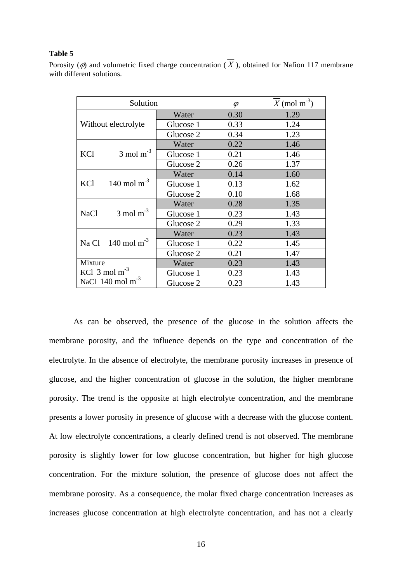### **Table 5**

Porosity ( $\varphi$ ) and volumetric fixed charge concentration ( $\overline{X}$ ), obtained for Nafion 117 membrane with different solutions.

| Solution                              |           | $\varphi$ | $X \pmod{m^3}$ |
|---------------------------------------|-----------|-----------|----------------|
|                                       | Water     | 0.30      | 1.29           |
| Without electrolyte                   | Glucose 1 | 0.33      | 1.24           |
|                                       | Glucose 2 | 0.34      | 1.23           |
|                                       | Water     | 0.22      | 1.46           |
| $3 \text{ mol m}^{-3}$<br>KCl         | Glucose 1 | 0.21      | 1.46           |
|                                       | Glucose 2 | 0.26      | 1.37           |
|                                       | Water     | 0.14      | 1.60           |
| 140 mol $m^{-3}$<br>KCl               | Glucose 1 | 0.13      | 1.62           |
|                                       | Glucose 2 | 0.10      | 1.68           |
|                                       | Water     | 0.28      | 1.35           |
| $3 \text{ mol m}^{-3}$<br><b>NaCl</b> | Glucose 1 | 0.23      | 1.43           |
|                                       | Glucose 2 | 0.29      | 1.33           |
|                                       | Water     | 0.23      | 1.43           |
| Na Cl $140 \text{ mol m}^{-3}$        | Glucose 1 | 0.22      | 1.45           |
|                                       | Glucose 2 | 0.21      | 1.47           |
| Mixture                               | Water     | 0.23      | 1.43           |
| KCl $3 \text{ mol m}^{-3}$            | Glucose 1 | 0.23      | 1.43           |
| NaCl $140$ mol m <sup>-3</sup>        | Glucose 2 | 0.23      | 1.43           |

 As can be observed, the presence of the glucose in the solution affects the membrane porosity, and the influence depends on the type and concentration of the electrolyte. In the absence of electrolyte, the membrane porosity increases in presence of glucose, and the higher concentration of glucose in the solution, the higher membrane porosity. The trend is the opposite at high electrolyte concentration, and the membrane presents a lower porosity in presence of glucose with a decrease with the glucose content. At low electrolyte concentrations, a clearly defined trend is not observed. The membrane porosity is slightly lower for low glucose concentration, but higher for high glucose concentration. For the mixture solution, the presence of glucose does not affect the membrane porosity. As a consequence, the molar fixed charge concentration increases as increases glucose concentration at high electrolyte concentration, and has not a clearly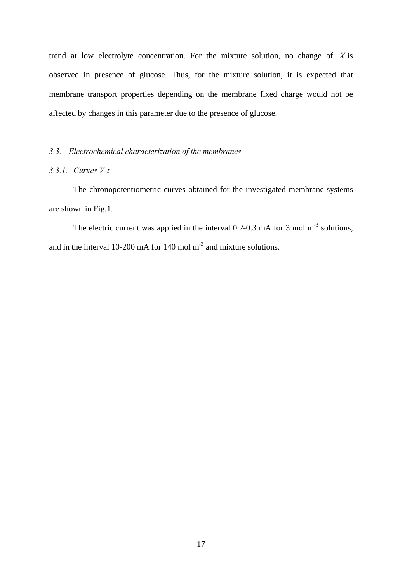trend at low electrolyte concentration. For the mixture solution, no change of  $\overline{X}$  is observed in presence of glucose. Thus, for the mixture solution, it is expected that membrane transport properties depending on the membrane fixed charge would not be affected by changes in this parameter due to the presence of glucose.

### *3.3. Electrochemical characterization of the membranes*

## *3.3.1. Curves V-t*

The chronopotentiometric curves obtained for the investigated membrane systems are shown in Fig.1.

The electric current was applied in the interval 0.2-0.3 mA for 3 mol m<sup>-3</sup> solutions, and in the interval 10-200 mA for 140 mol  $m<sup>3</sup>$  and mixture solutions.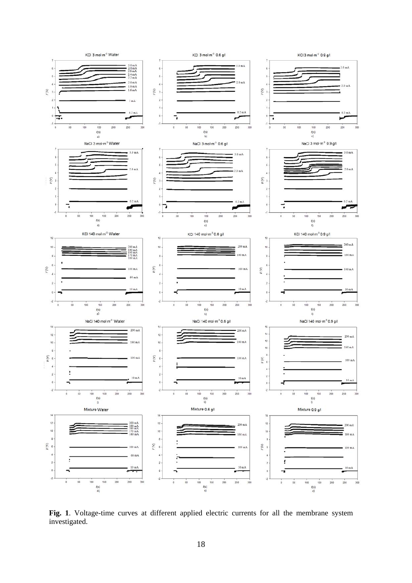

**Fig. 1**. Voltage-time curves at different applied electric currents for all the membrane system investigated.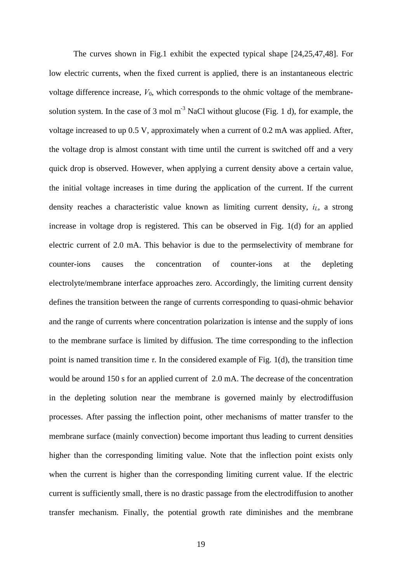The curves shown in Fig.1 exhibit the expected typical shape [24,25,47,48]. For low electric currents, when the fixed current is applied, there is an instantaneous electric voltage difference increase,  $V_0$ , which corresponds to the ohmic voltage of the membranesolution system. In the case of 3 mol  $m<sup>-3</sup>$  NaCl without glucose (Fig. 1 d), for example, the voltage increased to up 0.5 V, approximately when a current of 0.2 mA was applied. After, the voltage drop is almost constant with time until the current is switched off and a very quick drop is observed. However, when applying a current density above a certain value, the initial voltage increases in time during the application of the current. If the current density reaches a characteristic value known as limiting current density, *iL*, a strong increase in voltage drop is registered. This can be observed in Fig. 1(d) for an applied electric current of 2.0 mA. This behavior is due to the permselectivity of membrane for counter-ions causes the concentration of counter-ions at the depleting electrolyte/membrane interface approaches zero. Accordingly, the limiting current density defines the transition between the range of currents corresponding to quasi-ohmic behavior and the range of currents where concentration polarization is intense and the supply of ions to the membrane surface is limited by diffusion. The time corresponding to the inflection point is named transition time  $\tau$ . In the considered example of Fig. 1(d), the transition time would be around 150 s for an applied current of 2.0 mA. The decrease of the concentration in the depleting solution near the membrane is governed mainly by electrodiffusion processes. After passing the inflection point, other mechanisms of matter transfer to the membrane surface (mainly convection) become important thus leading to current densities higher than the corresponding limiting value. Note that the inflection point exists only when the current is higher than the corresponding limiting current value. If the electric current is sufficiently small, there is no drastic passage from the electrodiffusion to another transfer mechanism. Finally, the potential growth rate diminishes and the membrane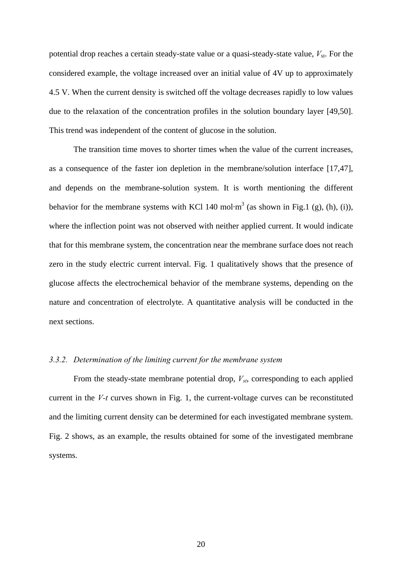potential drop reaches a certain steady-state value or a quasi-steady-state value,  $V_{\text{st}}$ . For the considered example, the voltage increased over an initial value of 4V up to approximately 4.5 V. When the current density is switched off the voltage decreases rapidly to low values due to the relaxation of the concentration profiles in the solution boundary layer [49,50]. This trend was independent of the content of glucose in the solution.

The transition time moves to shorter times when the value of the current increases, as a consequence of the faster ion depletion in the membrane/solution interface [17,47], and depends on the membrane-solution system. It is worth mentioning the different behavior for the membrane systems with KCl 140 mol $\cdot$ m<sup>3</sup> (as shown in Fig.1 (g), (h), (i)), where the inflection point was not observed with neither applied current. It would indicate that for this membrane system, the concentration near the membrane surface does not reach zero in the study electric current interval. Fig. 1 qualitatively shows that the presence of glucose affects the electrochemical behavior of the membrane systems, depending on the nature and concentration of electrolyte. A quantitative analysis will be conducted in the next sections.

### *3.3.2. Determination of the limiting current for the membrane system*

From the steady-state membrane potential drop,  $V_{st}$ , corresponding to each applied current in the *V-t* curves shown in Fig. 1, the current-voltage curves can be reconstituted and the limiting current density can be determined for each investigated membrane system. Fig. 2 shows, as an example, the results obtained for some of the investigated membrane systems.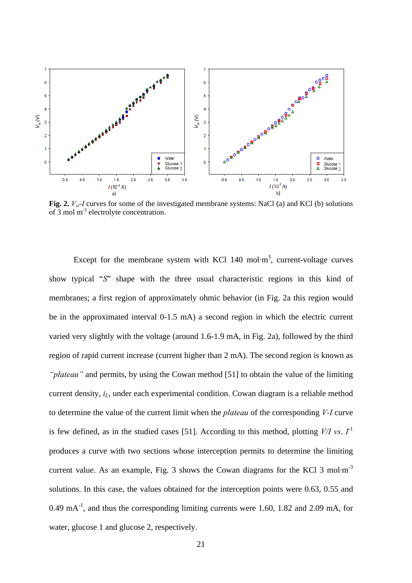

**Fig. 2.**  $V_{st}$ -I curves for some of the investigated membrane systems: NaCl (a) and KCl (b) solutions of 3 mol m-3 electrolyte concentration.

Except for the membrane system with KCl 140 mol $\cdot$ m<sup>3</sup>, current-voltage curves show typical "*S*" shape with the three usual characteristic regions in this kind of membranes; a first region of approximately ohmic behavior (in Fig. 2a this region would be in the approximated interval 0-1.5 mA) a second region in which the electric current varied very slightly with the voltage (around 1.6-1.9 mA, in Fig. 2a), followed by the third region of rapid current increase (current higher than 2 mA). The second region is known as *"plateau"* and permits, by using the Cowan method [51] to obtain the value of the limiting current density, *i<sub>L</sub>*, under each experimental condition. Cowan diagram is a reliable method to determine the value of the current limit when the *plateau* of the corresponding *V-I* curve is few defined, as in the studied cases [51]. According to this method, plotting  $V/I$  *vs.*  $I<sup>1</sup>$ produces a curve with two sections whose interception permits to determine the limiting current value. As an example, Fig. 3 shows the Cowan diagrams for the KCl 3 mol $\cdot$ m<sup>-3</sup> solutions. In this case, the values obtained for the interception points were 0.63, 0.55 and  $0.49 \text{ mA}^{-1}$ , and thus the corresponding limiting currents were 1.60, 1.82 and 2.09 mA, for water, glucose 1 and glucose 2, respectively.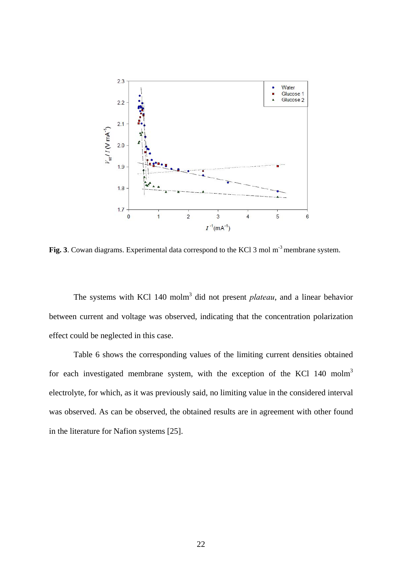

Fig. 3. Cowan diagrams. Experimental data correspond to the KCl 3 mol m<sup>-3</sup> membrane system.

The systems with KCl 140 molm<sup>3</sup> did not present *plateau*, and a linear behavior between current and voltage was observed, indicating that the concentration polarization effect could be neglected in this case.

Table 6 shows the corresponding values of the limiting current densities obtained for each investigated membrane system, with the exception of the KCl 140 molm<sup>3</sup> electrolyte, for which, as it was previously said, no limiting value in the considered interval was observed. As can be observed, the obtained results are in agreement with other found in the literature for Nafion systems [25].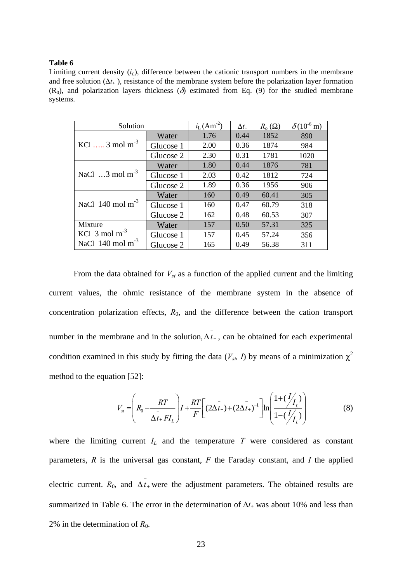#### **Table 6**

Limiting current density  $(i_l)$ , difference between the cationic transport numbers in the membrane and free solution  $(\Delta t_+)$ , resistance of the membrane system before the polarization layer formation  $(R_0)$ , and polarization layers thickness  $(\delta)$  estimated from Eq. (9) for the studied membrane systems.

| Solution                            |           | $i_{\rm L}$ (Am <sup>-2</sup> ) | $\Delta t_{+}$ | $R_{o}(\Omega)$ | $\delta(10^{-6} \text{ m})$ |
|-------------------------------------|-----------|---------------------------------|----------------|-----------------|-----------------------------|
|                                     | Water     | 1.76                            | 0.44           | 1852            | 890                         |
| KCl $3 \text{ mol m}^{-3}$          | Glucose 1 | 2.00                            | 0.36           | 1874            | 984                         |
|                                     | Glucose 2 | 2.30                            | 0.31           | 1781            | 1020                        |
|                                     | Water     | 1.80                            | 0.44           | 1876            | 781                         |
| NaCl $\ldots$ 3 mol m <sup>-3</sup> | Glucose 1 | 2.03                            | 0.42           | 1812            | 724                         |
|                                     | Glucose 2 | 1.89                            | 0.36           | 1956            | 906                         |
|                                     | Water     | 160                             | 0.49           | 60.41           | 305                         |
| NaCl $140 \text{ mol m}^{-3}$       | Glucose 1 | 160                             | 0.47           | 60.79           | 318                         |
|                                     | Glucose 2 | 162                             | 0.48           | 60.53           | 307                         |
| Mixture                             | Water     | 157                             | 0.50           | 57.31           | 325                         |
| KCl $3 \text{ mol m}^{-3}$          | Glucose 1 | 157                             | 0.45           | 57.24           | 356                         |
| NaCl $140 \text{ mol m}^{-3}$       | Glucose 2 | 165                             | 0.49           | 56.38           | 311                         |

From the data obtained for  $V_{st}$  as a function of the applied current and the limiting current values, the ohmic resistance of the membrane system in the absence of concentration polarization effects, *R*0, and the difference between the cation transport number in the membrane and in the solution,  $\overline{\Delta t}$ , can be obtained for each experimental condition examined in this study by fitting the data ( $V_{sb}$  I) by means of a minimization  $\chi^2$ method to the equation [52]:

$$
V_{st} = \left(R_0 - \frac{RT}{\Delta t_+ F I_L}\right) I + \frac{RT}{F} \left[ (2\Delta t_+) + (2\Delta t_+)^{-1} \right] \ln \left( \frac{1 + (\frac{1}{\gamma L})}{1 - (\frac{1}{\gamma L})} \right) \tag{8}
$$

where the limiting current  $I_L$  and the temperature  $T$  were considered as constant parameters,  $R$  is the universal gas constant,  $F$  the Faraday constant, and  $I$  the applied electric current.  $R_0$ , and  $\overline{\Delta t}$  were the adjustment parameters. The obtained results are summarized in Table 6. The error in the determination of  $\Delta t_+$  was about 10% and less than 2% in the determination of  $R_0$ .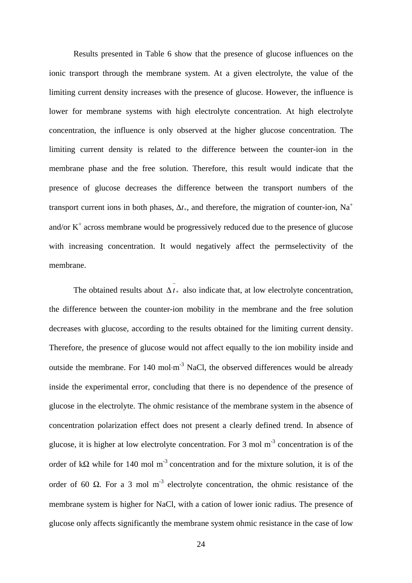Results presented in Table 6 show that the presence of glucose influences on the ionic transport through the membrane system. At a given electrolyte, the value of the limiting current density increases with the presence of glucose. However, the influence is lower for membrane systems with high electrolyte concentration. At high electrolyte concentration, the influence is only observed at the higher glucose concentration. The limiting current density is related to the difference between the counter-ion in the membrane phase and the free solution. Therefore, this result would indicate that the presence of glucose decreases the difference between the transport numbers of the transport current ions in both phases,  $\Delta t_+$ , and therefore, the migration of counter-ion, Na<sup>+</sup> and/or  $K^+$  across membrane would be progressively reduced due to the presence of glucose with increasing concentration. It would negatively affect the permselectivity of the membrane.

The obtained results about  $\overline{\Delta t_+}$  also indicate that, at low electrolyte concentration, the difference between the counter-ion mobility in the membrane and the free solution decreases with glucose, according to the results obtained for the limiting current density. Therefore, the presence of glucose would not affect equally to the ion mobility inside and outside the membrane. For 140 mol $\cdot$ m<sup>-3</sup> NaCl, the observed differences would be already inside the experimental error, concluding that there is no dependence of the presence of glucose in the electrolyte. The ohmic resistance of the membrane system in the absence of concentration polarization effect does not present a clearly defined trend. In absence of glucose, it is higher at low electrolyte concentration. For 3 mol m-3 concentration is of the order of k $\Omega$  while for 140 mol m<sup>-3</sup> concentration and for the mixture solution, it is of the order of 60  $\Omega$ . For a 3 mol m<sup>-3</sup> electrolyte concentration, the ohmic resistance of the membrane system is higher for NaCl, with a cation of lower ionic radius. The presence of glucose only affects significantly the membrane system ohmic resistance in the case of low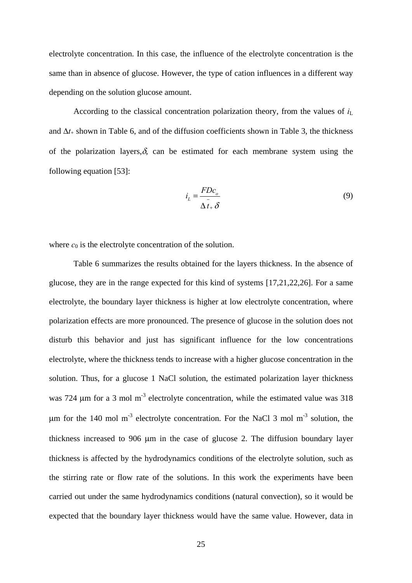electrolyte concentration. In this case, the influence of the electrolyte concentration is the same than in absence of glucose. However, the type of cation influences in a different way depending on the solution glucose amount.

According to the classical concentration polarization theory, from the values of *i*<sup>L</sup> and  $\Delta t_+$  shown in Table 6, and of the diffusion coefficients shown in Table 3, the thickness of the polarization layers,  $\delta$ , can be estimated for each membrane system using the following equation [53]:

$$
i_L = \frac{FDc_o}{\Delta t_+ \delta} \tag{9}
$$

where  $c_0$  is the electrolyte concentration of the solution.

Table 6 summarizes the results obtained for the layers thickness. In the absence of glucose, they are in the range expected for this kind of systems [17,21,22,26]. For a same electrolyte, the boundary layer thickness is higher at low electrolyte concentration, where polarization effects are more pronounced. The presence of glucose in the solution does not disturb this behavior and just has significant influence for the low concentrations electrolyte, where the thickness tends to increase with a higher glucose concentration in the solution. Thus, for a glucose 1 NaCl solution, the estimated polarization layer thickness was 724  $\mu$ m for a 3 mol m<sup>-3</sup> electrolyte concentration, while the estimated value was 318  $\mu$ m for the 140 mol m<sup>-3</sup> electrolyte concentration. For the NaCl 3 mol m<sup>-3</sup> solution, the thickness increased to 906  $\mu$ m in the case of glucose 2. The diffusion boundary layer thickness is affected by the hydrodynamics conditions of the electrolyte solution, such as the stirring rate or flow rate of the solutions. In this work the experiments have been carried out under the same hydrodynamics conditions (natural convection), so it would be expected that the boundary layer thickness would have the same value. However, data in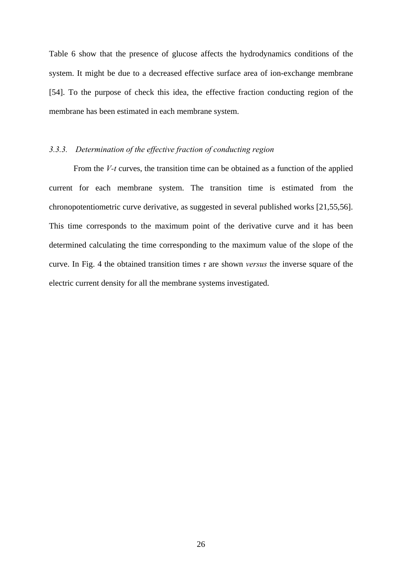Table 6 show that the presence of glucose affects the hydrodynamics conditions of the system. It might be due to a decreased effective surface area of ion-exchange membrane [54]. To the purpose of check this idea, the effective fraction conducting region of the membrane has been estimated in each membrane system.

### *3.3.3. Determination of the effective fraction of conducting region*

From the *V-t* curves, the transition time can be obtained as a function of the applied current for each membrane system. The transition time is estimated from the chronopotentiometric curve derivative, as suggested in several published works [21,55,56]. This time corresponds to the maximum point of the derivative curve and it has been determined calculating the time corresponding to the maximum value of the slope of the curve. In Fig. 4 the obtained transition times *τ* are shown *versus* the inverse square of the electric current density for all the membrane systems investigated.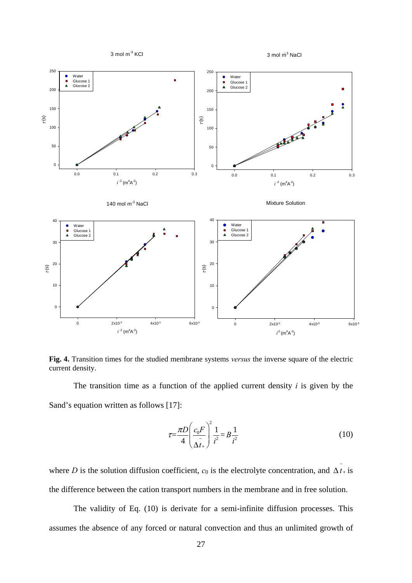

**Fig. 4.** Transition times for the studied membrane systems *versus* the inverse square of the electric current density.

 The transition time as a function of the applied current density *i* is given by the Sand's equation written as follows [17]:

$$
\tau = \frac{\pi D}{4} \left( \frac{c_0 F}{\frac{1}{\Delta t_+}} \right)^2 \frac{1}{i^2} = B \frac{1}{i^2} \tag{10}
$$

where *D* is the solution diffusion coefficient,  $c_0$  is the electrolyte concentration, and  $\overline{\Delta t}$ + is the difference between the cation transport numbers in the membrane and in free solution.

 The validity of Eq. (10) is derivate for a semi-infinite diffusion processes. This assumes the absence of any forced or natural convection and thus an unlimited growth of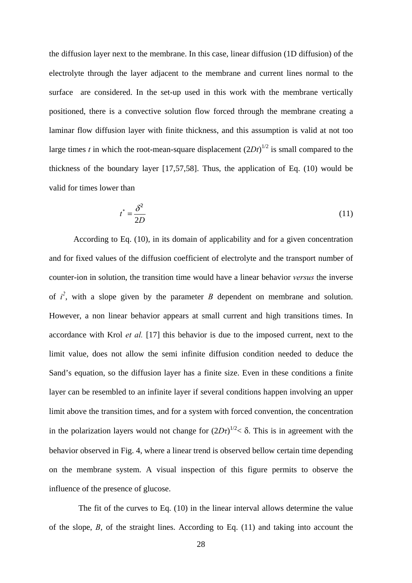the diffusion layer next to the membrane. In this case, linear diffusion (1D diffusion) of the electrolyte through the layer adjacent to the membrane and current lines normal to the surface are considered. In the set-up used in this work with the membrane vertically positioned, there is a convective solution flow forced through the membrane creating a laminar flow diffusion layer with finite thickness, and this assumption is valid at not too large times *t* in which the root-mean-square displacement  $(2Dt)^{1/2}$  is small compared to the thickness of the boundary layer [17,57,58]. Thus, the application of Eq. (10) would be valid for times lower than

$$
t^* = \frac{\delta^2}{2D} \tag{11}
$$

 According to Eq. (10), in its domain of applicability and for a given concentration and for fixed values of the diffusion coefficient of electrolyte and the transport number of counter-ion in solution, the transition time would have a linear behavior *versus* the inverse of  $i^2$ , with a slope given by the parameter *B* dependent on membrane and solution. However, a non linear behavior appears at small current and high transitions times. In accordance with Krol *et al.* [17] this behavior is due to the imposed current, next to the limit value, does not allow the semi infinite diffusion condition needed to deduce the Sand's equation, so the diffusion layer has a finite size. Even in these conditions a finite layer can be resembled to an infinite layer if several conditions happen involving an upper limit above the transition times, and for a system with forced convention, the concentration in the polarization layers would not change for  $(2D\tau)^{1/2}$  < 8. This is in agreement with the behavior observed in Fig. 4, where a linear trend is observed bellow certain time depending on the membrane system. A visual inspection of this figure permits to observe the influence of the presence of glucose.

 The fit of the curves to Eq. (10) in the linear interval allows determine the value of the slope, *B*, of the straight lines. According to Eq. (11) and taking into account the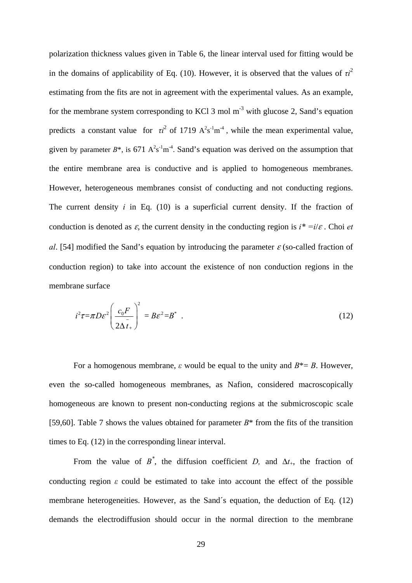polarization thickness values given in Table 6, the linear interval used for fitting would be in the domains of applicability of Eq. (10). However, it is observed that the values of  $\tau i^2$ estimating from the fits are not in agreement with the experimental values. As an example, for the membrane system corresponding to KCl 3 mol  $m<sup>-3</sup>$  with glucose 2, Sand's equation predicts a constant value for  $\tau i^2$  of 1719  $A^2s^{-1}m^{-4}$ , while the mean experimental value, given by parameter  $B^*$ , is 671  $A^2s^1m^4$ . Sand's equation was derived on the assumption that the entire membrane area is conductive and is applied to homogeneous membranes. However, heterogeneous membranes consist of conducting and not conducting regions. The current density *i* in Eq. (10) is a superficial current density. If the fraction of conduction is denoted as  $\varepsilon$ , the current density in the conducting region is  $i^* = i/\varepsilon$ . Choi *et al.* [54] modified the Sand's equation by introducing the parameter  $\varepsilon$  (so-called fraction of conduction region) to take into account the existence of non conduction regions in the membrane surface

$$
i^2 \tau = \pi D \varepsilon^2 \left( \frac{c_0 F}{2 \Delta t_+} \right)^2 = B \varepsilon^2 = B^* \quad . \tag{12}
$$

For a homogenous membrane,  $\varepsilon$  would be equal to the unity and  $B^* = B$ . However, even the so-called homogeneous membranes, as Nafion, considered macroscopically homogeneous are known to present non-conducting regions at the submicroscopic scale [59,60]. Table 7 shows the values obtained for parameter *B*\* from the fits of the transition times to Eq. (12) in the corresponding linear interval.

From the value of  $B^*$ , the diffusion coefficient *D*, and  $\Delta t_+$ , the fraction of conducting region  $\varepsilon$  could be estimated to take into account the effect of the possible membrane heterogeneities. However, as the Sand´s equation, the deduction of Eq. (12) demands the electrodiffusion should occur in the normal direction to the membrane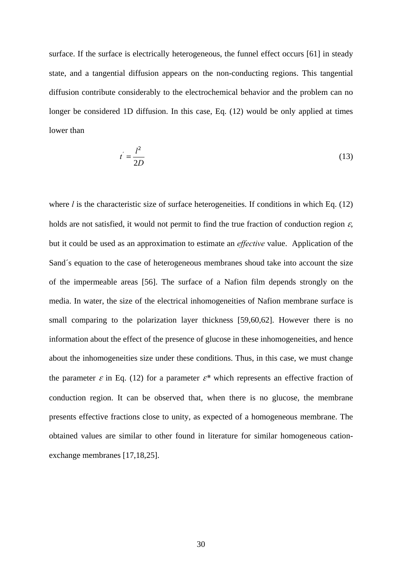surface. If the surface is electrically heterogeneous, the funnel effect occurs [61] in steady state, and a tangential diffusion appears on the non-conducting regions. This tangential diffusion contribute considerably to the electrochemical behavior and the problem can no longer be considered 1D diffusion. In this case, Eq. (12) would be only applied at times lower than

$$
t' = \frac{l^2}{2D} \tag{13}
$$

where *l* is the characteristic size of surface heterogeneities. If conditions in which Eq. (12) holds are not satisfied, it would not permit to find the true fraction of conduction region  $\varepsilon$ , but it could be used as an approximation to estimate an *effective* value. Application of the Sand´s equation to the case of heterogeneous membranes shoud take into account the size of the impermeable areas [56]. The surface of a Nafion film depends strongly on the media. In water, the size of the electrical inhomogeneities of Nafion membrane surface is small comparing to the polarization layer thickness [59,60,62]. However there is no information about the effect of the presence of glucose in these inhomogeneities, and hence about the inhomogeneities size under these conditions. Thus, in this case, we must change the parameter  $\varepsilon$  in Eq. (12) for a parameter  $\varepsilon^*$  which represents an effective fraction of conduction region. It can be observed that, when there is no glucose, the membrane presents effective fractions close to unity, as expected of a homogeneous membrane. The obtained values are similar to other found in literature for similar homogeneous cationexchange membranes [17,18,25].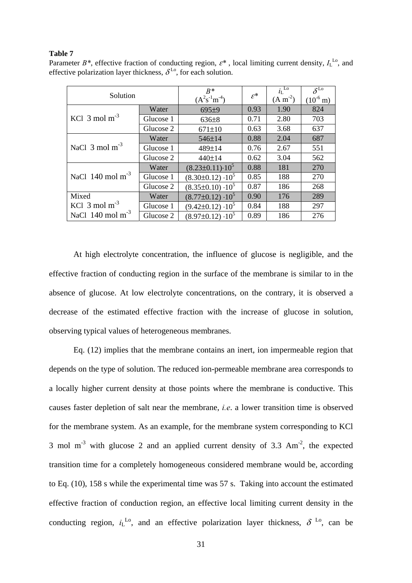### **Table 7**

| Solution                      |           | $B^*$<br>$(A^{2}s^{-1}m^{-4})$ | $\varepsilon^*$ | $i_L$ <sup>Lo</sup><br>$(A m-2)$ | $\delta^{\rm Lo}$<br>$(10^{-6} \text{ m})$ |
|-------------------------------|-----------|--------------------------------|-----------------|----------------------------------|--------------------------------------------|
|                               | Water     | 695 <sup>±9</sup>              | 0.93            | 1.90                             | 824                                        |
| KCl $3 \text{ mol m}^{-3}$    | Glucose 1 | $636 \pm 8$                    | 0.71            | 2.80                             | 703                                        |
|                               | Glucose 2 | $671 \pm 10$                   | 0.63            | 3.68                             | 637                                        |
|                               | Water     | 546±14                         | 0.88            | 2.04                             | 687                                        |
| NaCl $3 \text{ mol m}^{-3}$   | Glucose 1 | 489±14                         | 0.76            | 2.67                             | 551                                        |
|                               | Glucose 2 | 440±14                         | 0.62            | 3.04                             | 562                                        |
|                               | Water     | $(8.23 \pm 0.11) \cdot 10^5$   | 0.88            | 181                              | 270                                        |
| NaCl $140 \text{ mol m}^{-3}$ | Glucose 1 | $(8.30\pm0.12)\cdot10^5$       | 0.85            | 188                              | 270                                        |
|                               | Glucose 2 | $(8.35\pm0.10)\cdot10^5$       | 0.87            | 186                              | 268                                        |
| Mixed                         | Water     | $(8.77\pm0.12)\cdot10^5$       | 0.90            | 176                              | 289                                        |
| KCl $3 \text{ mol m}^{-3}$    | Glucose 1 | $(9.42\pm0.12)\cdot10^5$       | 0.84            | 188                              | 297                                        |
| NaCl $140 \text{ mol m}^{-3}$ | Glucose 2 | $(8.97\pm0.12)\cdot10^5$       | 0.89            | 186                              | 276                                        |

Parameter  $B^*$ , effective fraction of conducting region,  $\varepsilon^*$ , local limiting current density,  $I_L^{\text{Lo}}$ , and effective polarization layer thickness,  $\delta^{L_0}$ , for each solution.

 At high electrolyte concentration, the influence of glucose is negligible, and the effective fraction of conducting region in the surface of the membrane is similar to in the absence of glucose. At low electrolyte concentrations, on the contrary, it is observed a decrease of the estimated effective fraction with the increase of glucose in solution, observing typical values of heterogeneous membranes.

 Eq. (12) implies that the membrane contains an inert, ion impermeable region that depends on the type of solution. The reduced ion-permeable membrane area corresponds to a locally higher current density at those points where the membrane is conductive. This causes faster depletion of salt near the membrane, *i.e*. a lower transition time is observed for the membrane system. As an example, for the membrane system corresponding to KCl 3 mol  $m^{-3}$  with glucose 2 and an applied current density of 3.3 Am<sup>-2</sup>, the expected transition time for a completely homogeneous considered membrane would be, according to Eq. (10), 158 s while the experimental time was 57 s. Taking into account the estimated effective fraction of conduction region, an effective local limiting current density in the conducting region,  $i_L^{L_0}$ , and an effective polarization layer thickness,  $\delta^{L_0}$ , can be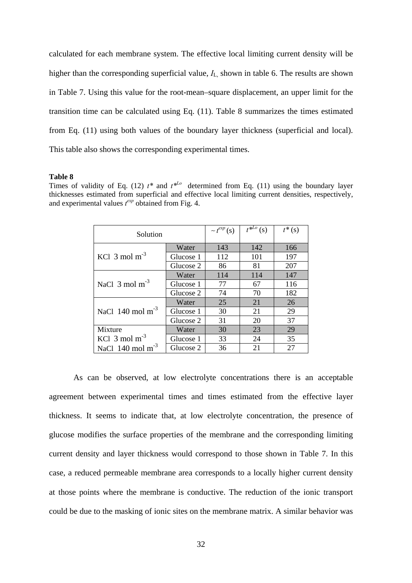calculated for each membrane system. The effective local limiting current density will be higher than the corresponding superficial value,  $I_L$  shown in table 6. The results are shown in Table 7. Using this value for the root-mean–square displacement, an upper limit for the transition time can be calculated using Eq. (11). Table 8 summarizes the times estimated from Eq. (11) using both values of the boundary layer thickness (superficial and local). This table also shows the corresponding experimental times.

#### **Table 8**

Times of validity of Eq. (12)  $t^*$  and  $t^{*L0}$  determined from Eq. (11) using the boundary layer thicknesses estimated from superficial and effective local limiting current densities, respectively, and experimental values  $t^{exp}$  obtained from Fig. 4.

| Solution                      |           | $\sim t^{exp}$ (s) | (s) | $t^*(s)$ |
|-------------------------------|-----------|--------------------|-----|----------|
|                               | Water     | 143                | 142 | 166      |
| KCl $3 \text{ mol m}^{-3}$    | Glucose 1 | 112                | 101 | 197      |
|                               | Glucose 2 | 86                 | 81  | 207      |
|                               | Water     | 114                | 114 | 147      |
| NaCl $3 \text{ mol m}^{-3}$   | Glucose 1 | 77                 | 67  | 116      |
|                               | Glucose 2 | 74                 | 70  | 182      |
|                               | Water     | 25                 | 21  | 26       |
| NaCl $140 \text{ mol m}^{-3}$ | Glucose 1 | 30                 | 21  | 29       |
|                               | Glucose 2 | 31                 | 20  | 37       |
| Mixture<br>Water              |           | 30                 | 23  | 29       |
| KCl $3 \text{ mol m}^{-3}$    | Glucose 1 | 33                 | 24  | 35       |
| NaCl $140 \text{ mol m}^{-3}$ | Glucose 2 | 36                 | 21  | 27       |

 As can be observed, at low electrolyte concentrations there is an acceptable agreement between experimental times and times estimated from the effective layer thickness. It seems to indicate that, at low electrolyte concentration, the presence of glucose modifies the surface properties of the membrane and the corresponding limiting current density and layer thickness would correspond to those shown in Table 7. In this case, a reduced permeable membrane area corresponds to a locally higher current density at those points where the membrane is conductive. The reduction of the ionic transport could be due to the masking of ionic sites on the membrane matrix. A similar behavior was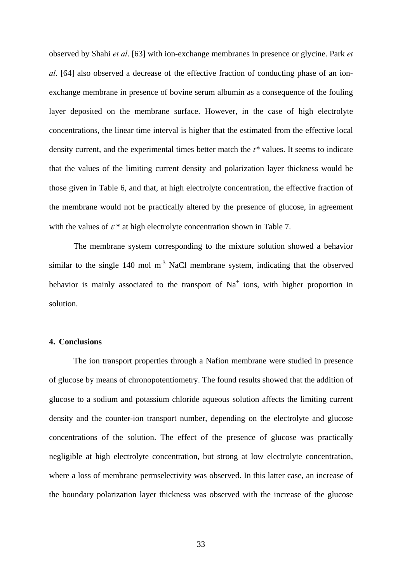observed by Shahi *et al*. [63] with ion-exchange membranes in presence or glycine. Park *et al*. [64] also observed a decrease of the effective fraction of conducting phase of an ionexchange membrane in presence of bovine serum albumin as a consequence of the fouling layer deposited on the membrane surface. However, in the case of high electrolyte concentrations, the linear time interval is higher that the estimated from the effective local density current, and the experimental times better match the *t\** values. It seems to indicate that the values of the limiting current density and polarization layer thickness would be those given in Table 6, and that, at high electrolyte concentration, the effective fraction of the membrane would not be practically altered by the presence of glucose, in agreement with the values of  $\varepsilon^*$  at high electrolyte concentration shown in Table 7.

 The membrane system corresponding to the mixture solution showed a behavior similar to the single 140 mol  $m<sup>-3</sup>$  NaCl membrane system, indicating that the observed behavior is mainly associated to the transport of  $Na<sup>+</sup>$  ions, with higher proportion in solution.

### **4. Conclusions**

 The ion transport properties through a Nafion membrane were studied in presence of glucose by means of chronopotentiometry. The found results showed that the addition of glucose to a sodium and potassium chloride aqueous solution affects the limiting current density and the counter-ion transport number, depending on the electrolyte and glucose concentrations of the solution. The effect of the presence of glucose was practically negligible at high electrolyte concentration, but strong at low electrolyte concentration, where a loss of membrane permselectivity was observed. In this latter case, an increase of the boundary polarization layer thickness was observed with the increase of the glucose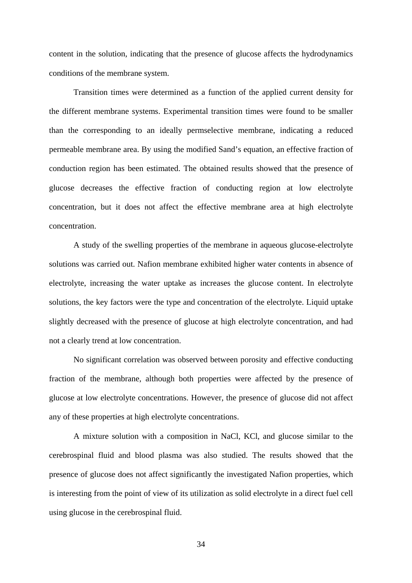content in the solution, indicating that the presence of glucose affects the hydrodynamics conditions of the membrane system.

 Transition times were determined as a function of the applied current density for the different membrane systems. Experimental transition times were found to be smaller than the corresponding to an ideally permselective membrane, indicating a reduced permeable membrane area. By using the modified Sand's equation, an effective fraction of conduction region has been estimated. The obtained results showed that the presence of glucose decreases the effective fraction of conducting region at low electrolyte concentration, but it does not affect the effective membrane area at high electrolyte concentration.

 A study of the swelling properties of the membrane in aqueous glucose-electrolyte solutions was carried out. Nafion membrane exhibited higher water contents in absence of electrolyte, increasing the water uptake as increases the glucose content. In electrolyte solutions, the key factors were the type and concentration of the electrolyte. Liquid uptake slightly decreased with the presence of glucose at high electrolyte concentration, and had not a clearly trend at low concentration.

 No significant correlation was observed between porosity and effective conducting fraction of the membrane, although both properties were affected by the presence of glucose at low electrolyte concentrations. However, the presence of glucose did not affect any of these properties at high electrolyte concentrations.

 A mixture solution with a composition in NaCl, KCl, and glucose similar to the cerebrospinal fluid and blood plasma was also studied. The results showed that the presence of glucose does not affect significantly the investigated Nafion properties, which is interesting from the point of view of its utilization as solid electrolyte in a direct fuel cell using glucose in the cerebrospinal fluid.

34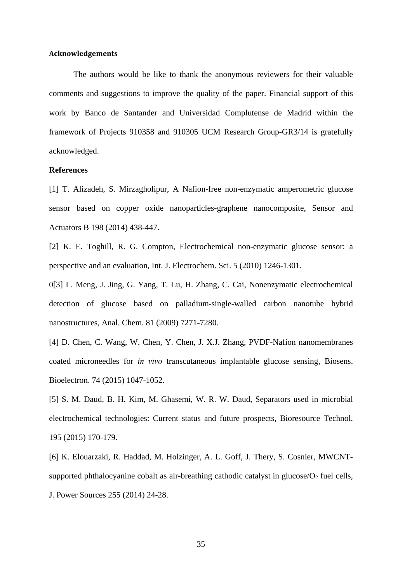### **Acknowledgements**

 The authors would be like to thank the anonymous reviewers for their valuable comments and suggestions to improve the quality of the paper. Financial support of this work by Banco de Santander and Universidad Complutense de Madrid within the framework of Projects 910358 and 910305 UCM Research Group-GR3/14 is gratefully acknowledged.

### **References**

[1] T. Alizadeh, S. Mirzagholipur, A Nafion-free non-enzymatic amperometric glucose sensor based on copper oxide nanoparticles-graphene nanocomposite, Sensor and Actuators B 198 (2014) 438-447.

[2] K. E. Toghill, R. G. Compton, Electrochemical non-enzymatic glucose sensor: a perspective and an evaluation, Int. J. Electrochem. Sci. 5 (2010) 1246-1301.

0[3] L. Meng, J. Jing, G. Yang, T. Lu, H. Zhang, C. Cai, Nonenzymatic electrochemical detection of glucose based on palladium-single-walled carbon nanotube hybrid nanostructures, Anal. Chem. 81 (2009) 7271-7280.

[4] D. Chen, C. Wang, W. Chen, Y. Chen, J. X.J. Zhang, PVDF-Nafion nanomembranes coated microneedles for *in vivo* transcutaneous implantable glucose sensing, Biosens. Bioelectron. 74 (2015) 1047-1052.

[5] S. M. Daud, B. H. Kim, M. Ghasemi, W. R. W. Daud, Separators used in microbial electrochemical technologies: Current status and future prospects, Bioresource Technol. 195 (2015) 170-179.

[6] K. Elouarzaki, R. Haddad, M. Holzinger, A. L. Goff, J. Thery, S. Cosnier, MWCNTsupported phthalocyanine cobalt as air-breathing cathodic catalyst in glucose/ $O_2$  fuel cells, J. Power Sources 255 (2014) 24-28.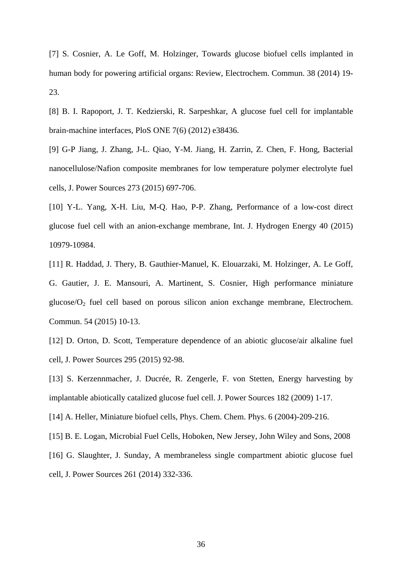[7] S. Cosnier, A. Le Goff, M. Holzinger, Towards glucose biofuel cells implanted in human body for powering artificial organs: Review, Electrochem. Commun. 38 (2014) 19- 23.

[8] B. I. Rapoport, J. T. Kedzierski, R. Sarpeshkar, A glucose fuel cell for implantable brain-machine interfaces, PloS ONE 7(6) (2012) e38436.

[9] G-P Jiang, J. Zhang, J-L. Qiao, Y-M. Jiang, H. Zarrin, Z. Chen, F. Hong, Bacterial nanocellulose/Nafion composite membranes for low temperature polymer electrolyte fuel cells, J. Power Sources 273 (2015) 697-706.

[10] Y-L. Yang, X-H. Liu, M-Q. Hao, P-P. Zhang, Performance of a low-cost direct glucose fuel cell with an anion-exchange membrane, Int. J. Hydrogen Energy 40 (2015) 10979-10984.

[11] R. Haddad, J. Thery, B. Gauthier-Manuel, K. Elouarzaki, M. Holzinger, A. Le Goff, G. Gautier, J. E. Mansouri, A. Martinent, S. Cosnier, High performance miniature glucose/ $O_2$  fuel cell based on porous silicon anion exchange membrane, Electrochem. Commun. 54 (2015) 10-13.

[12] D. Orton, D. Scott, Temperature dependence of an abiotic glucose/air alkaline fuel cell, J. Power Sources 295 (2015) 92-98.

[13] S. Kerzennmacher, J. Ducrée, R. Zengerle, F. von Stetten, Energy harvesting by implantable abiotically catalized glucose fuel cell. J. Power Sources 182 (2009) 1-17.

[14] A. Heller, Miniature biofuel cells, Phys. Chem. Chem. Phys. 6 (2004)-209-216.

[15] B. E. Logan, Microbial Fuel Cells, Hoboken, New Jersey, John Wiley and Sons, 2008

[16] G. Slaughter, J. Sunday, A membraneless single compartment abiotic glucose fuel cell, J. Power Sources 261 (2014) 332-336.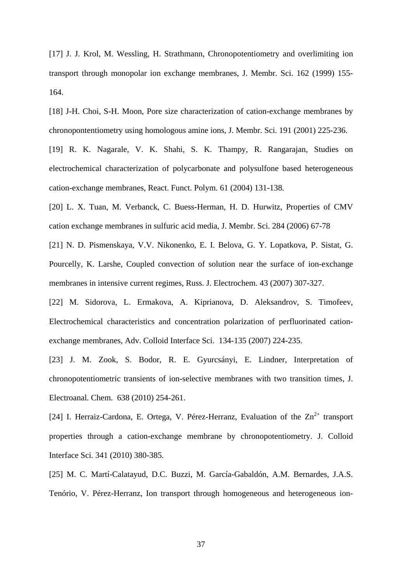[17] J. J. Krol, M. Wessling, H. Strathmann, Chronopotentiometry and overlimiting ion transport through monopolar ion exchange membranes, J. Membr. Sci. 162 (1999) 155- 164.

[18] J-H. Choi, S-H. Moon, Pore size characterization of cation-exchange membranes by chronopontentiometry using homologous amine ions, J. Membr. Sci. 191 (2001) 225-236.

[19] R. K. Nagarale, V. K. Shahi, S. K. Thampy, R. Rangarajan, Studies on electrochemical characterization of polycarbonate and polysulfone based heterogeneous cation-exchange membranes, React. Funct. Polym. 61 (2004) 131-138.

[20] L. X. Tuan, M. Verbanck, C. Buess-Herman, H. D. Hurwitz, Properties of CMV cation exchange membranes in sulfuric acid media, J. Membr. Sci. 284 (2006) 67-78

[21] N. D. Pismenskaya, V.V. Nikonenko, E. I. Belova, G. Y. Lopatkova, P. Sistat, G. Pourcelly, K. Larshe, Coupled convection of solution near the surface of ion-exchange membranes in intensive current regimes, Russ. J. Electrochem. 43 (2007) 307-327.

[22] M. Sidorova, L. Ermakova, A. Kiprianova, D. Aleksandrov, S. Timofeev, Electrochemical characteristics and concentration polarization of perfluorinated cationexchange membranes, Adv. Colloid Interface Sci. 134-135 (2007) 224-235.

[23] J. M. Zook, S. Bodor, R. E. Gyurcsányi, E. Lindner, Interpretation of chronopotentiometric transients of ion-selective membranes with two transition times, J. Electroanal. Chem. 638 (2010) 254-261.

[24] I. Herraiz-Cardona, E. Ortega, V. Pérez-Herranz, Evaluation of the  $Zn^{2+}$  transport properties through a cation-exchange membrane by chronopotentiometry. J. Colloid Interface Sci. 341 (2010) 380-385.

[25] M. C. Martí-Calatayud, D.C. Buzzi, M. García-Gabaldón, A.M. Bernardes, J.A.S. Tenório, V. Pérez-Herranz, Ion transport through homogeneous and heterogeneous ion-

37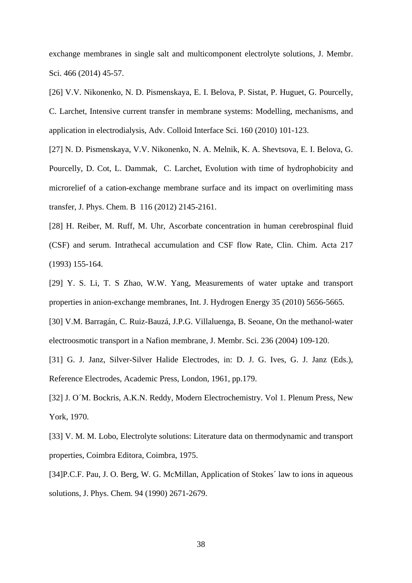exchange membranes in single salt and multicomponent electrolyte solutions, J. Membr. Sci. 466 (2014) 45-57.

[26] V.V. Nikonenko, N. D. Pismenskaya, E. I. Belova, P. Sistat, P. Huguet, G. Pourcelly, C. Larchet, Intensive current transfer in membrane systems: Modelling, mechanisms, and application in electrodialysis, Adv. Colloid Interface Sci. 160 (2010) 101-123.

[27] N. D. Pismenskaya, V.V. Nikonenko, N. A. Melnik, K. A. Shevtsova, E. I. Belova, G. Pourcelly, D. Cot, L. Dammak, C. Larchet, Evolution with time of hydrophobicity and microrelief of a cation-exchange membrane surface and its impact on overlimiting mass transfer, J. Phys. Chem. B 116 (2012) 2145-2161.

[28] H. Reiber, M. Ruff, M. Uhr, Ascorbate concentration in human cerebrospinal fluid (CSF) and serum. Intrathecal accumulation and CSF flow Rate, Clin. Chim. Acta 217 (1993) 155-164.

[29] Y. S. Li, T. S Zhao, W.W. Yang, Measurements of water uptake and transport properties in anion-exchange membranes, Int. J. Hydrogen Energy 35 (2010) 5656-5665.

[30] V.M. Barragán, C. Ruiz-Bauzá, J.P.G. Villaluenga, B. Seoane, On the methanol-water electroosmotic transport in a Nafion membrane, J. Membr. Sci. 236 (2004) 109-120.

[31] G. J. Janz, Silver-Silver Halide Electrodes, in: D. J. G. Ives, G. J. Janz (Eds.), Reference Electrodes, Academic Press, London, 1961, pp.179.

[32] J. O´M. Bockris, A.K.N. Reddy, Modern Electrochemistry. Vol 1. Plenum Press, New York, 1970.

[33] V. M. M. Lobo, Electrolyte solutions: Literature data on thermodynamic and transport properties, Coimbra Editora, Coimbra, 1975.

[34]P.C.F. Pau, J. O. Berg, W. G. McMillan, Application of Stokes´ law to ions in aqueous solutions, J. Phys. Chem. 94 (1990) 2671-2679.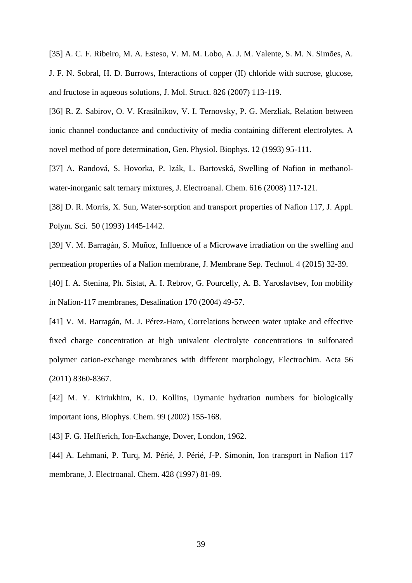[35] A. C. F. Ribeiro, M. A. Esteso, V. M. M. Lobo, A. J. M. Valente, S. M. N. Simões, A. J. F. N. Sobral, H. D. Burrows, Interactions of copper (II) chloride with sucrose, glucose, and fructose in aqueous solutions, J. Mol. Struct. 826 (2007) 113-119.

[36] R. Z. Sabirov, O. V. Krasilnikov, V. I. Ternovsky, P. G. Merzliak, Relation between ionic channel conductance and conductivity of media containing different electrolytes. A novel method of pore determination, Gen. Physiol. Biophys. 12 (1993) 95-111.

[37] A. Randová, S. Hovorka, P. Izák, L. Bartovská, Swelling of Nafion in methanolwater-inorganic salt ternary mixtures, J. Electroanal. Chem. 616 (2008) 117-121.

[38] D. R. Morris, X. Sun, Water-sorption and transport properties of Nafion 117, J. Appl. Polym. Sci. 50 (1993) 1445-1442.

[39] V. M. Barragán, S. Muñoz, Influence of a Microwave irradiation on the swelling and permeation properties of a Nafion membrane, J. Membrane Sep. Technol. 4 (2015) 32-39.

[40] I. A. Stenina, Ph. Sistat, A. I. Rebrov, G. Pourcelly, A. B. Yaroslavtsev, Ion mobility in Nafion-117 membranes, Desalination 170 (2004) 49-57.

[41] V. M. Barragán, M. J. Pérez-Haro, Correlations between water uptake and effective fixed charge concentration at high univalent electrolyte concentrations in sulfonated polymer cation-exchange membranes with different morphology, Electrochim. Acta 56 (2011) 8360-8367.

[42] M. Y. Kiriukhim, K. D. Kollins, Dymanic hydration numbers for biologically important ions, Biophys. Chem. 99 (2002) 155-168.

[43] F. G. Helfferich, Ion-Exchange, Dover, London, 1962.

[44] A. Lehmani, P. Turq, M. Périé, J. Périé, J-P. Simonin, Ion transport in Nafion 117 membrane, J. Electroanal. Chem. 428 (1997) 81-89.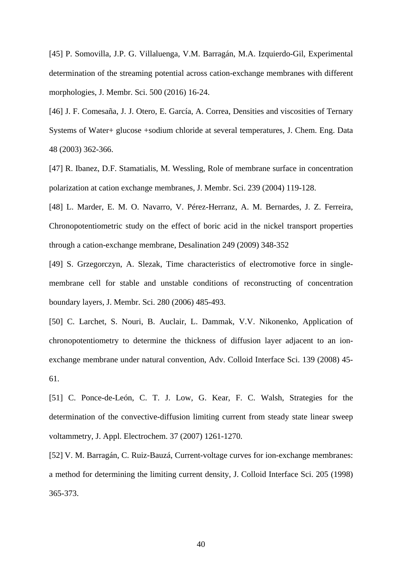[45] P. Somovilla, J.P. G. Villaluenga, V.M. Barragán, M.A. Izquierdo-Gil, Experimental determination of the streaming potential across cation-exchange membranes with different morphologies, J. Membr. Sci. 500 (2016) 16-24.

[46] J. F. Comesaña, J. J. Otero, E. García, A. Correa, Densities and viscosities of Ternary Systems of Water+ glucose +sodium chloride at several temperatures, J. Chem. Eng. Data 48 (2003) 362-366.

[47] R. Ibanez, D.F. Stamatialis, M. Wessling, Role of membrane surface in concentration polarization at cation exchange membranes, J. Membr. Sci. 239 (2004) 119-128.

[48] L. Marder, E. M. O. Navarro, V. Pérez-Herranz, A. M. Bernardes, J. Z. Ferreira, Chronopotentiometric study on the effect of boric acid in the nickel transport properties through a cation-exchange membrane, Desalination 249 (2009) 348-352

[49] S. Grzegorczyn, A. Slezak, Time characteristics of electromotive force in singlemembrane cell for stable and unstable conditions of reconstructing of concentration boundary layers, J. Membr. Sci. 280 (2006) 485-493.

[50] C. Larchet, S. Nouri, B. Auclair, L. Dammak, V.V. Nikonenko, Application of chronopotentiometry to determine the thickness of diffusion layer adjacent to an ionexchange membrane under natural convention, Adv. Colloid Interface Sci. 139 (2008) 45- 61.

[51] C. Ponce-de-León, C. T. J. Low, G. Kear, F. C. Walsh, Strategies for the determination of the convective-diffusion limiting current from steady state linear sweep voltammetry, J. Appl. Electrochem. 37 (2007) 1261-1270.

[52] V. M. Barragán, C. Ruiz-Bauzá, Current-voltage curves for ion-exchange membranes: a method for determining the limiting current density, J. Colloid Interface Sci. 205 (1998) 365-373.

40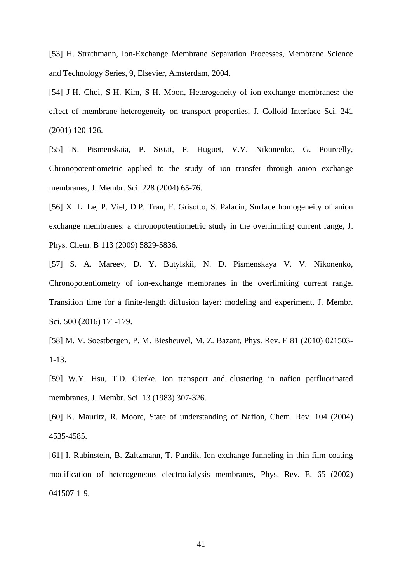[53] H. Strathmann, Ion-Exchange Membrane Separation Processes, Membrane Science and Technology Series, 9, Elsevier, Amsterdam, 2004.

[54] J-H. Choi, S-H. Kim, S-H. Moon, Heterogeneity of ion-exchange membranes: the effect of membrane heterogeneity on transport properties, J. Colloid Interface Sci. 241 (2001) 120-126.

[55] N. Pismenskaia, P. Sistat, P. Huguet, V.V. Nikonenko, G. Pourcelly, Chronopotentiometric applied to the study of ion transfer through anion exchange membranes, J. Membr. Sci. 228 (2004) 65-76.

[56] X. L. Le, P. Viel, D.P. Tran, F. Grisotto, S. Palacin, Surface homogeneity of anion exchange membranes: a chronopotentiometric study in the overlimiting current range, J. Phys. Chem. B 113 (2009) 5829-5836.

[57] S. A. Mareev, D. Y. Butylskii, N. D. Pismenskaya V. V. Nikonenko, Chronopotentiometry of ion-exchange membranes in the overlimiting current range. Transition time for a finite-length diffusion layer: modeling and experiment, J. Membr. Sci. 500 (2016) 171-179.

[58] M. V. Soestbergen, P. M. Biesheuvel, M. Z. Bazant, Phys. Rev. E 81 (2010) 021503- 1-13.

[59] W.Y. Hsu, T.D. Gierke, Ion transport and clustering in nafion perfluorinated membranes, J. Membr. Sci. 13 (1983) 307-326.

[60] K. Mauritz, R. Moore, State of understanding of Nafion, Chem. Rev. 104 (2004) 4535-4585.

[61] I. Rubinstein, B. Zaltzmann, T. Pundik, Ion-exchange funneling in thin-film coating modification of heterogeneous electrodialysis membranes, Phys. Rev. E, 65 (2002) 041507-1-9.

41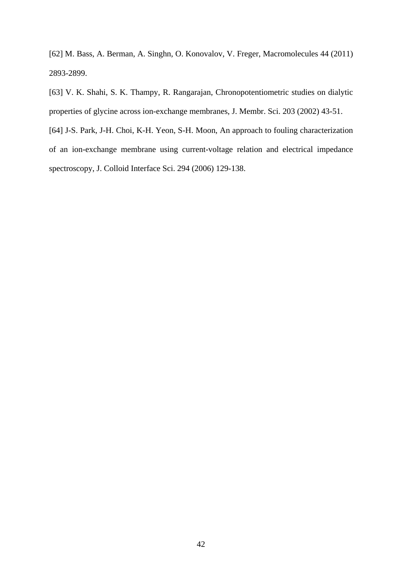[62] M. Bass, A. Berman, A. Singhn, O. Konovalov, V. Freger, Macromolecules 44 (2011) 2893-2899.

[63] V. K. Shahi, S. K. Thampy, R. Rangarajan, Chronopotentiometric studies on dialytic properties of glycine across ion-exchange membranes, J. Membr. Sci. 203 (2002) 43-51.

[64] J-S. Park, J-H. Choi, K-H. Yeon, S-H. Moon, An approach to fouling characterization of an ion-exchange membrane using current-voltage relation and electrical impedance spectroscopy, J. Colloid Interface Sci. 294 (2006) 129-138.